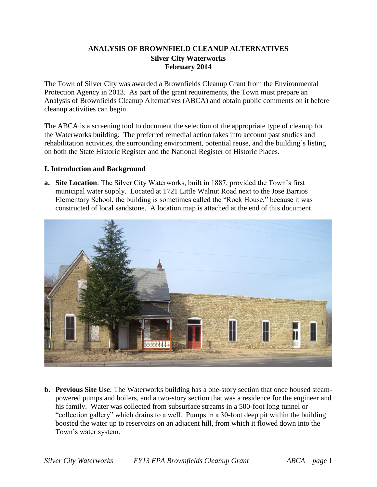# **ANALYSIS OF BROWNFIELD CLEANUP ALTERNATIVES Silver City Waterworks February 2014**

The Town of Silver City was awarded a Brownfields Cleanup Grant from the Environmental Protection Agency in 2013. As part of the grant requirements, the Town must prepare an Analysis of Brownfields Cleanup Alternatives (ABCA) and obtain public comments on it before cleanup activities can begin.

The ABCA is a screening tool to document the selection of the appropriate type of cleanup for the Waterworks building. The preferred remedial action takes into account past studies and rehabilitation activities, the surrounding environment, potential reuse, and the building's listing on both the State Historic Register and the National Register of Historic Places.

## **I. Introduction and Background**

**a. Site Location**: The Silver City Waterworks, built in 1887, provided the Town's first municipal water supply. Located at 1721 Little Walnut Road next to the Jose Barrios Elementary School, the building is sometimes called the "Rock House," because it was constructed of local sandstone. A location map is attached at the end of this document.



**b. Previous Site Use**: The Waterworks building has a one-story section that once housed steampowered pumps and boilers, and a two-story section that was a residence for the engineer and his family. Water was collected from subsurface streams in a 500-foot long tunnel or "collection gallery" which drains to a well. Pumps in a 30-foot deep pit within the building boosted the water up to reservoirs on an adjacent hill, from which it flowed down into the Town's water system.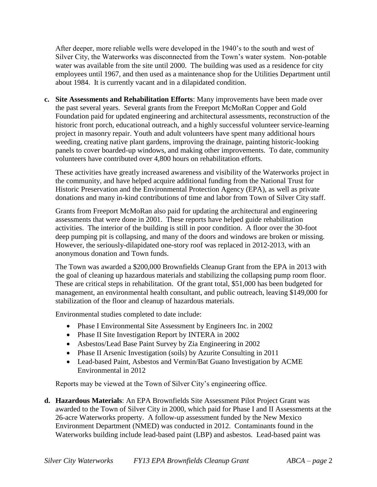After deeper, more reliable wells were developed in the 1940's to the south and west of Silver City, the Waterworks was disconnected from the Town's water system. Non-potable water was available from the site until 2000. The building was used as a residence for city employees until 1967, and then used as a maintenance shop for the Utilities Department until about 1984. It is currently vacant and in a dilapidated condition.

**c. Site Assessments and Rehabilitation Efforts**: Many improvements have been made over the past several years. Several grants from the Freeport McMoRan Copper and Gold Foundation paid for updated engineering and architectural assessments, reconstruction of the historic front porch, educational outreach, and a highly successful volunteer service-learning project in masonry repair. Youth and adult volunteers have spent many additional hours weeding, creating native plant gardens, improving the drainage, painting historic-looking panels to cover boarded-up windows, and making other improvements. To date, community volunteers have contributed over 4,800 hours on rehabilitation efforts.

These activities have greatly increased awareness and visibility of the Waterworks project in the community, and have helped acquire additional funding from the National Trust for Historic Preservation and the Environmental Protection Agency (EPA), as well as private donations and many in-kind contributions of time and labor from Town of Silver City staff.

Grants from Freeport McMoRan also paid for updating the architectural and engineering assessments that were done in 2001. These reports have helped guide rehabilitation activities. The interior of the building is still in poor condition. A floor over the 30-foot deep pumping pit is collapsing, and many of the doors and windows are broken or missing. However, the seriously-dilapidated one-story roof was replaced in 2012-2013, with an anonymous donation and Town funds.

The Town was awarded a \$200,000 Brownfields Cleanup Grant from the EPA in 2013 with the goal of cleaning up hazardous materials and stabilizing the collapsing pump room floor. These are critical steps in rehabilitation. Of the grant total, \$51,000 has been budgeted for management, an environmental health consultant, and public outreach, leaving \$149,000 for stabilization of the floor and cleanup of hazardous materials.

Environmental studies completed to date include:

- Phase I Environmental Site Assessment by Engineers Inc. in 2002
- Phase II Site Investigation Report by INTERA in 2002
- Asbestos/Lead Base Paint Survey by Zia Engineering in 2002
- Phase II Arsenic Investigation (soils) by Azurite Consulting in 2011
- Lead-based Paint, Asbestos and Vermin/Bat Guano Investigation by ACME Environmental in 2012

Reports may be viewed at the Town of Silver City's engineering office.

**d. Hazardous Materials**: An EPA Brownfields Site Assessment Pilot Project Grant was awarded to the Town of Silver City in 2000, which paid for Phase I and II Assessments at the 26-acre Waterworks property. A follow-up assessment funded by the New Mexico Environment Department (NMED) was conducted in 2012. Contaminants found in the Waterworks building include lead-based paint (LBP) and asbestos. Lead-based paint was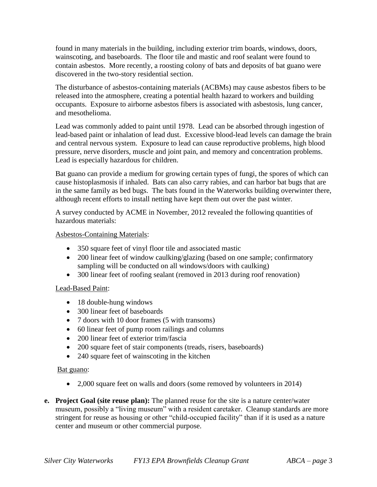found in many materials in the building, including exterior trim boards, windows, doors, wainscoting, and baseboards. The floor tile and mastic and roof sealant were found to contain asbestos. More recently, a roosting colony of bats and deposits of bat guano were discovered in the two-story residential section.

The disturbance of asbestos-containing materials (ACBMs) may cause asbestos fibers to be released into the atmosphere, creating a potential health hazard to workers and building occupants. Exposure to airborne asbestos fibers is associated with asbestosis, lung cancer, and mesothelioma.

Lead was commonly added to paint until 1978. Lead can be absorbed through ingestion of lead-based paint or inhalation of lead dust. Excessive blood-lead levels can damage the brain and central nervous system. Exposure to lead can cause reproductive problems, high blood pressure, nerve disorders, muscle and joint pain, and memory and concentration problems. Lead is especially hazardous for children.

Bat guano can provide a medium for growing certain types of fungi, the spores of which can cause histoplasmosis if inhaled. Bats can also carry rabies, and can harbor bat bugs that are in the same family as bed bugs. The bats found in the Waterworks building overwinter there, although recent efforts to install netting have kept them out over the past winter.

A survey conducted by ACME in November, 2012 revealed the following quantities of hazardous materials:

## Asbestos-Containing Materials:

- 350 square feet of vinyl floor tile and associated mastic
- 200 linear feet of window caulking/glazing (based on one sample; confirmatory sampling will be conducted on all windows/doors with caulking)
- 300 linear feet of roofing sealant (removed in 2013 during roof renovation)

# Lead-Based Paint:

- 18 double-hung windows
- 300 linear feet of baseboards
- 7 doors with 10 door frames (5 with transoms)
- 60 linear feet of pump room railings and columns
- 200 linear feet of exterior trim/fascia
- 200 square feet of stair components (treads, risers, baseboards)
- 240 square feet of wainscoting in the kitchen

# Bat guano:

- 2,000 square feet on walls and doors (some removed by volunteers in 2014)
- **e. Project Goal (site reuse plan):** The planned reuse for the site is a nature center/water museum, possibly a "living museum" with a resident caretaker. Cleanup standards are more stringent for reuse as housing or other "child-occupied facility" than if it is used as a nature center and museum or other commercial purpose.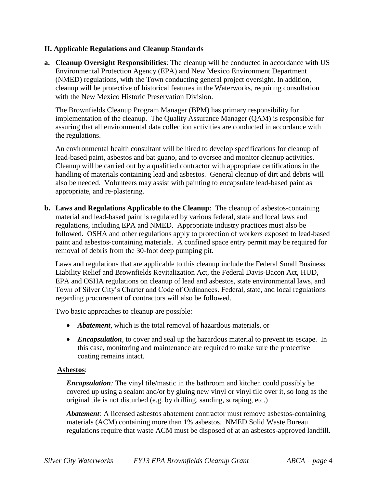## **II. Applicable Regulations and Cleanup Standards**

**a. Cleanup Oversight Responsibilities**: The cleanup will be conducted in accordance with US Environmental Protection Agency (EPA) and New Mexico Environment Department (NMED) regulations, with the Town conducting general project oversight. In addition, cleanup will be protective of historical features in the Waterworks, requiring consultation with the New Mexico Historic Preservation Division.

The Brownfields Cleanup Program Manager (BPM) has primary responsibility for implementation of the cleanup. The Quality Assurance Manager (QAM) is responsible for assuring that all environmental data collection activities are conducted in accordance with the regulations.

An environmental health consultant will be hired to develop specifications for cleanup of lead-based paint, asbestos and bat guano, and to oversee and monitor cleanup activities. Cleanup will be carried out by a qualified contractor with appropriate certifications in the handling of materials containing lead and asbestos. General cleanup of dirt and debris will also be needed. Volunteers may assist with painting to encapsulate lead-based paint as appropriate, and re-plastering.

**b. Laws and Regulations Applicable to the Cleanup**: The cleanup of asbestos-containing material and lead-based paint is regulated by various federal, state and local laws and regulations, including EPA and NMED. Appropriate industry practices must also be followed. OSHA and other regulations apply to protection of workers exposed to lead-based paint and asbestos-containing materials. A confined space entry permit may be required for removal of debris from the 30-foot deep pumping pit.

Laws and regulations that are applicable to this cleanup include the Federal Small Business Liability Relief and Brownfields Revitalization Act, the Federal Davis-Bacon Act, HUD, EPA and OSHA regulations on cleanup of lead and asbestos, state environmental laws, and Town of Silver City's Charter and Code of Ordinances. Federal, state, and local regulations regarding procurement of contractors will also be followed.

Two basic approaches to cleanup are possible:

- *Abatement*, which is the total removal of hazardous materials, or
- *Encapsulation*, to cover and seal up the hazardous material to prevent its escape. In this case, monitoring and maintenance are required to make sure the protective coating remains intact.

#### **Asbestos**:

*Encapsulation:* The vinyl tile/mastic in the bathroom and kitchen could possibly be covered up using a sealant and/or by gluing new vinyl or vinyl tile over it, so long as the original tile is not disturbed (e.g. by drilling, sanding, scraping, etc.)

*Abatement:* A licensed asbestos abatement contractor must remove asbestos-containing materials (ACM) containing more than 1% asbestos. NMED Solid Waste Bureau regulations require that waste ACM must be disposed of at an asbestos-approved landfill.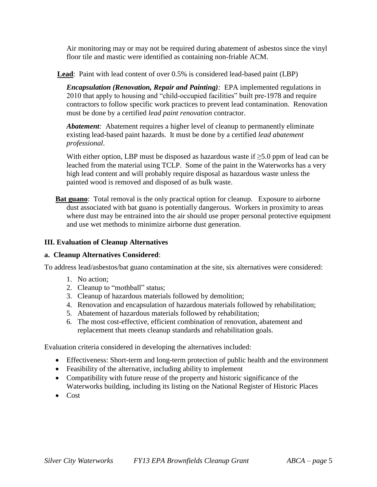Air monitoring may or may not be required during abatement of asbestos since the vinyl floor tile and mastic were identified as containing non-friable ACM.

**Lead**: Paint with lead content of over 0.5% is considered lead-based paint (LBP)

*Encapsulation (Renovation, Repair and Painting):* EPA implemented regulations in 2010 that apply to housing and "child-occupied facilities" built pre-1978 and require contractors to follow specific work practices to prevent lead contamination. Renovation must be done by a certified *lead paint renovation* contractor.

*Abatement:* Abatement requires a higher level of cleanup to permanently eliminate existing lead-based paint hazards. It must be done by a certified *lead abatement professional*.

With either option, LBP must be disposed as hazardous waste if  $\geq 5.0$  ppm of lead can be leached from the material using TCLP. Some of the paint in the Waterworks has a very high lead content and will probably require disposal as hazardous waste unless the painted wood is removed and disposed of as bulk waste.

**Bat guano**: Total removal is the only practical option for cleanup. Exposure to airborne dust associated with bat guano is potentially dangerous. Workers in proximity to areas where dust may be entrained into the air should use proper personal protective equipment and use wet methods to minimize airborne dust generation.

## **III. Evaluation of Cleanup Alternatives**

#### **a. Cleanup Alternatives Considered**:

To address lead/asbestos/bat guano contamination at the site, six alternatives were considered:

- 1. No action;
- 2. Cleanup to "mothball" status;
- 3. Cleanup of hazardous materials followed by demolition;
- 4. Renovation and encapsulation of hazardous materials followed by rehabilitation;
- 5. Abatement of hazardous materials followed by rehabilitation;
- 6. The most cost-effective, efficient combination of renovation, abatement and replacement that meets cleanup standards and rehabilitation goals.

Evaluation criteria considered in developing the alternatives included:

- Effectiveness: Short-term and long-term protection of public health and the environment
- Feasibility of the alternative, including ability to implement
- Compatibility with future reuse of the property and historic significance of the Waterworks building, including its listing on the National Register of Historic Places
- Cost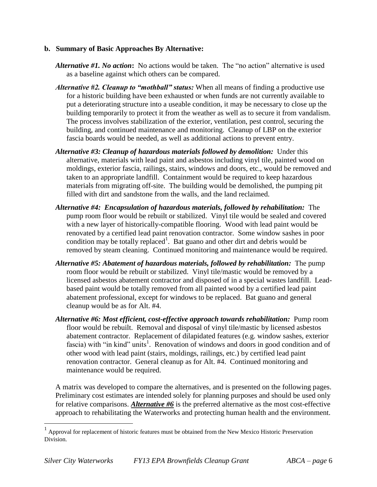#### **b. Summary of Basic Approaches By Alternative:**

- *Alternative #1. No action***:** No actions would be taken. The "no action" alternative is used as a baseline against which others can be compared.
- *Alternative #2. Cleanup to "mothball" status:* When all means of finding a productive use for a historic building have been exhausted or when funds are not currently available to put a deteriorating structure into a useable condition, it may be necessary to close up the building temporarily to protect it from the weather as well as to secure it from vandalism. The process involves stabilization of the exterior, ventilation, pest control, securing the building, and continued maintenance and monitoring. Cleanup of LBP on the exterior fascia boards would be needed, as well as additional actions to prevent entry.
- *Alternative #3: Cleanup of hazardous materials followed by demolition:* Under this alternative, materials with lead paint and asbestos including vinyl tile, painted wood on moldings, exterior fascia, railings, stairs, windows and doors, etc., would be removed and taken to an appropriate landfill. Containment would be required to keep hazardous materials from migrating off-site. The building would be demolished, the pumping pit filled with dirt and sandstone from the walls, and the land reclaimed.
- *Alternative #4: Encapsulation of hazardous materials, followed by rehabilitation:* The pump room floor would be rebuilt or stabilized. Vinyl tile would be sealed and covered with a new layer of historically-compatible flooring. Wood with lead paint would be renovated by a certified lead paint renovation contractor. Some window sashes in poor condition may be totally replaced<sup>1</sup>. Bat guano and other dirt and debris would be removed by steam cleaning. Continued monitoring and maintenance would be required.
- *Alternative #5: Abatement of hazardous materials, followed by rehabilitation:* The pump room floor would be rebuilt or stabilized. Vinyl tile/mastic would be removed by a licensed asbestos abatement contractor and disposed of in a special wastes landfill. Leadbased paint would be totally removed from all painted wood by a certified lead paint abatement professional, except for windows to be replaced. Bat guano and general cleanup would be as for Alt. #4.
- *Alternative #6: Most efficient, cost-effective approach towards rehabilitation:* Pump room floor would be rebuilt. Removal and disposal of vinyl tile/mastic by licensed asbestos abatement contractor. Replacement of dilapidated features (e.g. window sashes, exterior fascia) with "in kind" units<sup>1</sup>. Renovation of windows and doors in good condition and of other wood with lead paint (stairs, moldings, railings, etc.) by certified lead paint renovation contractor. General cleanup as for Alt. #4. Continued monitoring and maintenance would be required.

A matrix was developed to compare the alternatives, and is presented on the following pages. Preliminary cost estimates are intended solely for planning purposes and should be used only for relative comparisons. *Alternative #6* is the preferred alternative as the most cost-effective approach to rehabilitating the Waterworks and protecting human health and the environment.

 $\overline{a}$ 

<sup>1</sup> Approval for replacement of historic features must be obtained from the New Mexico Historic Preservation Division.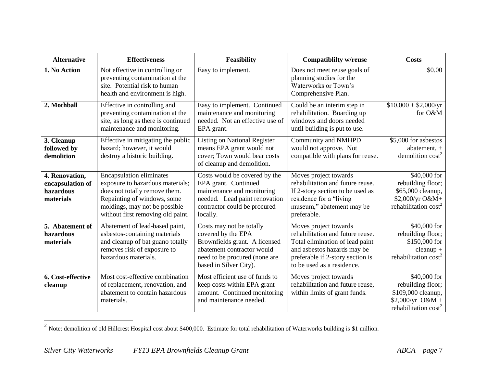| <b>Alternative</b>                                           | <b>Effectiveness</b>                                                                                                                                                                                      | <b>Feasibility</b>                                                                                                                                                       | <b>Compatibility w/reuse</b>                                                                                                                                                                  | <b>Costs</b>                                                                                                     |
|--------------------------------------------------------------|-----------------------------------------------------------------------------------------------------------------------------------------------------------------------------------------------------------|--------------------------------------------------------------------------------------------------------------------------------------------------------------------------|-----------------------------------------------------------------------------------------------------------------------------------------------------------------------------------------------|------------------------------------------------------------------------------------------------------------------|
| 1. No Action                                                 | Not effective in controlling or<br>preventing contamination at the<br>site. Potential risk to human<br>health and environment is high.                                                                    | Easy to implement.                                                                                                                                                       | Does not meet reuse goals of<br>planning studies for the<br>Waterworks or Town's<br>Comprehensive Plan.                                                                                       | \$0.00                                                                                                           |
| 2. Mothball                                                  | Effective in controlling and<br>preventing contamination at the<br>site, as long as there is continued<br>maintenance and monitoring.                                                                     | Easy to implement. Continued<br>maintenance and monitoring<br>needed. Not an effective use of<br>EPA grant.                                                              | Could be an interim step in<br>rehabilitation. Boarding up<br>windows and doors needed<br>until building is put to use.                                                                       | $$10,000 + $2,000/yr$<br>for O&M                                                                                 |
| 3. Cleanup<br>followed by<br>demolition                      | Effective in mitigating the public<br>hazard; however, it would<br>destroy a historic building.                                                                                                           | <b>Listing on National Register</b><br>means EPA grant would not<br>cover; Town would bear costs<br>of cleanup and demolition.                                           | Community and NMHPD<br>would not approve. Not<br>compatible with plans for reuse.                                                                                                             | \$5,000 for asbestos<br>abatement, +<br>demolition $cost2$                                                       |
| 4. Renovation,<br>encapsulation of<br>hazardous<br>materials | <b>Encapsulation eliminates</b><br>exposure to hazardous materials;<br>does not totally remove them.<br>Repainting of windows, some<br>moldings, may not be possible<br>without first removing old paint. | Costs would be covered by the<br>EPA grant. Continued<br>maintenance and monitoring<br>needed. Lead paint renovation<br>contractor could be procured<br>locally.         | Moves project towards<br>rehabilitation and future reuse.<br>If 2-story section to be used as<br>residence for a "living<br>museum," abatement may be<br>preferable.                          | \$40,000 for<br>rebuilding floor;<br>\$65,000 cleanup,<br>\$2,000/yr O&M+<br>rehabilitation cost <sup>2</sup>    |
| 5. Abatement of<br>hazardous<br>materials                    | Abatement of lead-based paint,<br>asbestos-containing materials<br>and cleanup of bat guano totally<br>removes risk of exposure to<br>hazardous materials.                                                | Costs may not be totally<br>covered by the EPA<br>Brownfields grant. A licensed<br>abatement contractor would<br>need to be procured (none are<br>based in Silver City). | Moves project towards<br>rehabilitation and future reuse.<br>Total elimination of lead paint<br>and asbestos hazards may be<br>preferable if 2-story section is<br>to be used as a residence. | \$40,000 for<br>rebuilding floor;<br>\$150,000 for<br>$cleanup +$<br>rehabilitation cost <sup>2</sup>            |
| 6. Cost-effective<br>cleanup                                 | Most cost-effective combination<br>of replacement, renovation, and<br>abatement to contain hazardous<br>materials.                                                                                        | Most efficient use of funds to<br>keep costs within EPA grant<br>amount. Continued monitoring<br>and maintenance needed.                                                 | Moves project towards<br>rehabilitation and future reuse,<br>within limits of grant funds.                                                                                                    | \$40,000 for<br>rebuilding floor;<br>\$109,000 cleanup,<br>$$2,000/yr$ O&M +<br>rehabilitation cost <sup>2</sup> |

<sup>&</sup>lt;sup>2</sup> Note: demolition of old Hillcrest Hospital cost about \$400,000. Estimate for total rehabilitation of Waterworks building is \$1 million.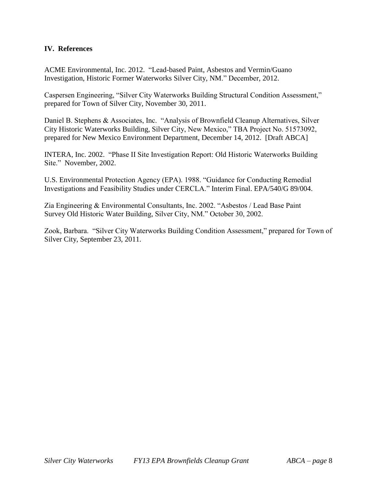## **IV. References**

ACME Environmental, Inc. 2012. "Lead-based Paint, Asbestos and Vermin/Guano Investigation, Historic Former Waterworks Silver City, NM." December, 2012.

Caspersen Engineering, "Silver City Waterworks Building Structural Condition Assessment," prepared for Town of Silver City, November 30, 2011.

Daniel B. Stephens & Associates, Inc. "Analysis of Brownfield Cleanup Alternatives, Silver City Historic Waterworks Building, Silver City, New Mexico," TBA Project No. 51573092, prepared for New Mexico Environment Department, December 14, 2012. [Draft ABCA]

INTERA, Inc. 2002. "Phase II Site Investigation Report: Old Historic Waterworks Building Site." November, 2002.

U.S. Environmental Protection Agency (EPA). 1988. "Guidance for Conducting Remedial Investigations and Feasibility Studies under CERCLA." Interim Final. EPA/540/G 89/004.

Zia Engineering & Environmental Consultants, Inc. 2002. "Asbestos / Lead Base Paint Survey Old Historic Water Building, Silver City, NM." October 30, 2002.

Zook, Barbara. "Silver City Waterworks Building Condition Assessment," prepared for Town of Silver City, September 23, 2011.